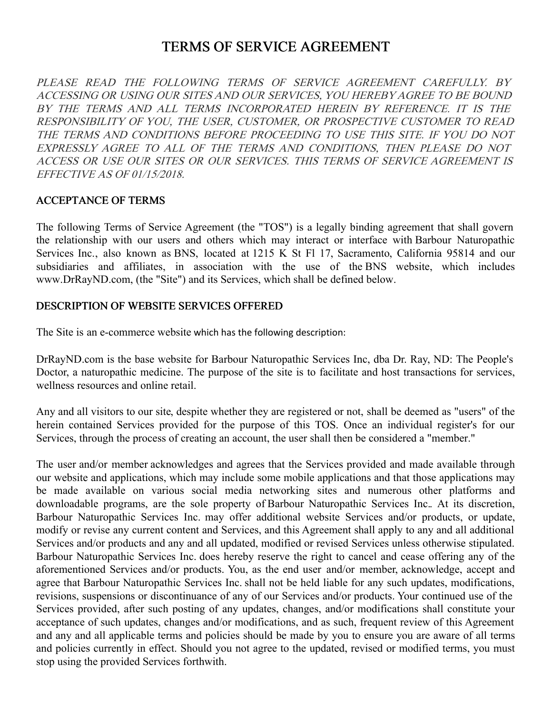# TERMS OF SERVICE AGREEMENT

PLEASE READ THE FOLLOWING TERMS OF SERVICE AGREEMENT CAREFULLY. BY ACCESSING OR USING OUR SITES AND OUR SERVICES, YOU HEREBY AGREE TO BE BOUND BY THE TERMS AND ALL TERMS INCORPORATED HEREIN BY REFERENCE. IT IS THE RESPONSIBILITY OF YOU, THE USER, CUSTOMER, OR PROSPECTIVE CUSTOMER TO READ THE TERMS AND CONDITIONS BEFORE PROCEEDING TO USE THIS SITE. IF YOU DO NOT EXPRESSLY AGREE TO ALL OF THE TERMS AND CONDITIONS, THEN PLEASE DO NOT ACCESS OR USE OUR SITES OR OUR SERVICES. THIS TERMS OF SERVICE AGREEMENT IS EFFECTIVE AS OF 01/15/2018.

### ACCEPTANCE OF TERMS

The following Terms of Service Agreement (the "TOS") is a legally binding agreement that shall govern the relationship with our users and others which may interact or interface with Barbour Naturopathic Services Inc., also known as BNS, located at 1215 K St Fl 17, Sacramento, California 95814 and our subsidiaries and affiliates, in association with the use of the BNS website, which includes www.DrRayND.com, (the "Site") and its Services, which shall be defined below.

#### DESCRIPTION OF WEBSITE SERVICES OFFERED

The Site is an e-commerce website which has the following description:

DrRayND.com is the base website for Barbour Naturopathic Services Inc, dba Dr. Ray, ND: The People's Doctor, a naturopathic medicine. The purpose of the site is to facilitate and host transactions for services, wellness resources and online retail.

Any and all visitors to our site, despite whether they are registered or not, shall be deemed as "users" of the herein contained Services provided for the purpose of this TOS. Once an individual register's for our Services, through the process of creating an account, the user shall then be considered a "member."

The user and/or member acknowledges and agrees that the Services provided and made available through our website and applications, which may include some mobile applications and that those applications may be made available on various social media networking sites and numerous other platforms and downloadable programs, are the sole property of Barbour Naturopathic Services Inc.. At its discretion, Barbour Naturopathic Services Inc. may offer additional website Services and/or products, or update, modify or revise any current content and Services, and this Agreement shall apply to any and all additional Services and/or products and any and all updated, modified or revised Services unless otherwise stipulated. Barbour Naturopathic Services Inc. does hereby reserve the right to cancel and cease offering any of the aforementioned Services and/or products. You, as the end user and/or member, acknowledge, accept and agree that Barbour Naturopathic Services Inc. shall not be held liable for any such updates, modifications, revisions, suspensions or discontinuance of any of our Services and/or products. Your continued use of the Services provided, after such posting of any updates, changes, and/or modifications shall constitute your acceptance of such updates, changes and/or modifications, and as such, frequent review of this Agreement and any and all applicable terms and policies should be made by you to ensure you are aware of all terms and policies currently in effect. Should you not agree to the updated, revised or modified terms, you must stop using the provided Services forthwith.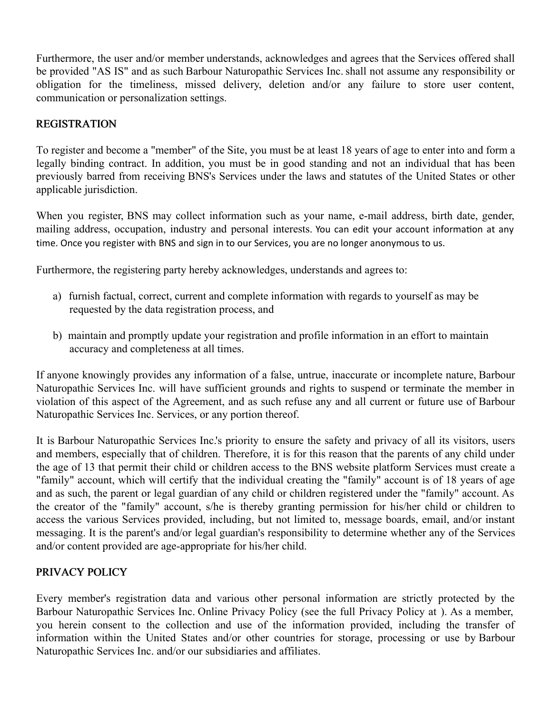Furthermore, the user and/or member understands, acknowledges and agrees that the Services offered shall be provided "AS IS" and as such Barbour Naturopathic Services Inc. shall not assume any responsibility or obligation for the timeliness, missed delivery, deletion and/or any failure to store user content, communication or personalization settings.

# REGISTRATION

To register and become a "member" of the Site, you must be at least 18 years of age to enter into and form a legally binding contract. In addition, you must be in good standing and not an individual that has been previously barred from receiving BNS's Services under the laws and statutes of the United States or other applicable jurisdiction.

When you register, BNS may collect information such as your name, e-mail address, birth date, gender, mailing address, occupation, industry and personal interests. You can edit your account information at any time. Once you register with BNS and sign in to our Services, you are no longer anonymous to us.

Furthermore, the registering party hereby acknowledges, understands and agrees to:

- a) furnish factual, correct, current and complete information with regards to yourself as may be requested by the data registration process, and
- b) maintain and promptly update your registration and profile information in an effort to maintain accuracy and completeness at all times.

If anyone knowingly provides any information of a false, untrue, inaccurate or incomplete nature, Barbour Naturopathic Services Inc. will have sufficient grounds and rights to suspend or terminate the member in violation of this aspect of the Agreement, and as such refuse any and all current or future use of Barbour Naturopathic Services Inc. Services, or any portion thereof.

It is Barbour Naturopathic Services Inc.'s priority to ensure the safety and privacy of all its visitors, users and members, especially that of children. Therefore, it is for this reason that the parents of any child under the age of 13 that permit their child or children access to the BNS website platform Services must create a "family" account, which will certify that the individual creating the "family" account is of 18 years of age and as such, the parent or legal guardian of any child or children registered under the "family" account. As the creator of the "family" account, s/he is thereby granting permission for his/her child or children to access the various Services provided, including, but not limited to, message boards, email, and/or instant messaging. It is the parent's and/or legal guardian's responsibility to determine whether any of the Services and/or content provided are age-appropriate for his/her child.

# PRIVACY POLICY

Every member's registration data and various other personal information are strictly protected by the Barbour Naturopathic Services Inc. Online Privacy Policy (see the full Privacy Policy at ). As a member, you herein consent to the collection and use of the information provided, including the transfer of information within the United States and/or other countries for storage, processing or use by Barbour Naturopathic Services Inc. and/or our subsidiaries and affiliates.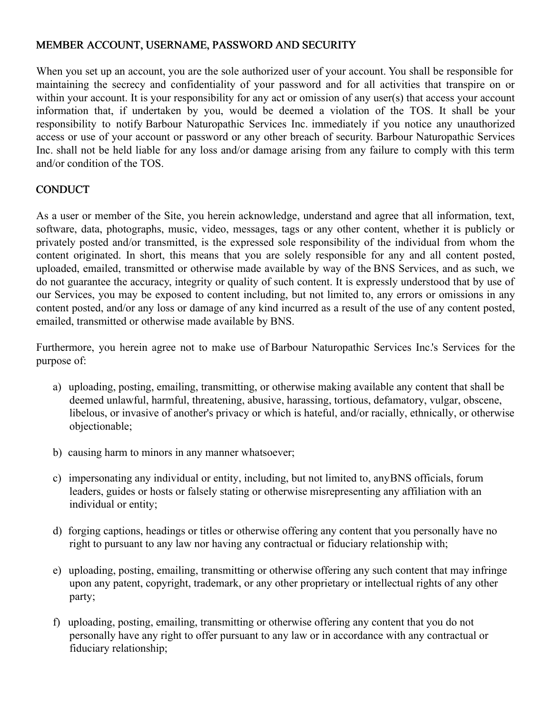### MEMBER ACCOUNT, USERNAME, PASSWORD AND SECURITY

When you set up an account, you are the sole authorized user of your account. You shall be responsible for maintaining the secrecy and confidentiality of your password and for all activities that transpire on or within your account. It is your responsibility for any act or omission of any user(s) that access your account information that, if undertaken by you, would be deemed a violation of the TOS. It shall be your responsibility to notify Barbour Naturopathic Services Inc. immediately if you notice any unauthorized access or use of your account or password or any other breach of security. Barbour Naturopathic Services Inc. shall not be held liable for any loss and/or damage arising from any failure to comply with this term and/or condition of the TOS.

### **CONDUCT**

As a user or member of the Site, you herein acknowledge, understand and agree that all information, text, software, data, photographs, music, video, messages, tags or any other content, whether it is publicly or privately posted and/or transmitted, is the expressed sole responsibility of the individual from whom the content originated. In short, this means that you are solely responsible for any and all content posted, uploaded, emailed, transmitted or otherwise made available by way of the BNS Services, and as such, we do not guarantee the accuracy, integrity or quality of such content. It is expressly understood that by use of our Services, you may be exposed to content including, but not limited to, any errors or omissions in any content posted, and/or any loss or damage of any kind incurred as a result of the use of any content posted, emailed, transmitted or otherwise made available by BNS.

Furthermore, you herein agree not to make use of Barbour Naturopathic Services Inc.'s Services for the purpose of:

- a) uploading, posting, emailing, transmitting, or otherwise making available any content that shall be deemed unlawful, harmful, threatening, abusive, harassing, tortious, defamatory, vulgar, obscene, libelous, or invasive of another's privacy or which is hateful, and/or racially, ethnically, or otherwise objectionable;
- b) causing harm to minors in any manner whatsoever;
- c) impersonating any individual or entity, including, but not limited to, anyBNS officials, forum leaders, guides or hosts or falsely stating or otherwise misrepresenting any affiliation with an individual or entity;
- d) forging captions, headings or titles or otherwise offering any content that you personally have no right to pursuant to any law nor having any contractual or fiduciary relationship with;
- e) uploading, posting, emailing, transmitting or otherwise offering any such content that may infringe upon any patent, copyright, trademark, or any other proprietary or intellectual rights of any other party;
- f) uploading, posting, emailing, transmitting or otherwise offering any content that you do not personally have any right to offer pursuant to any law or in accordance with any contractual or fiduciary relationship;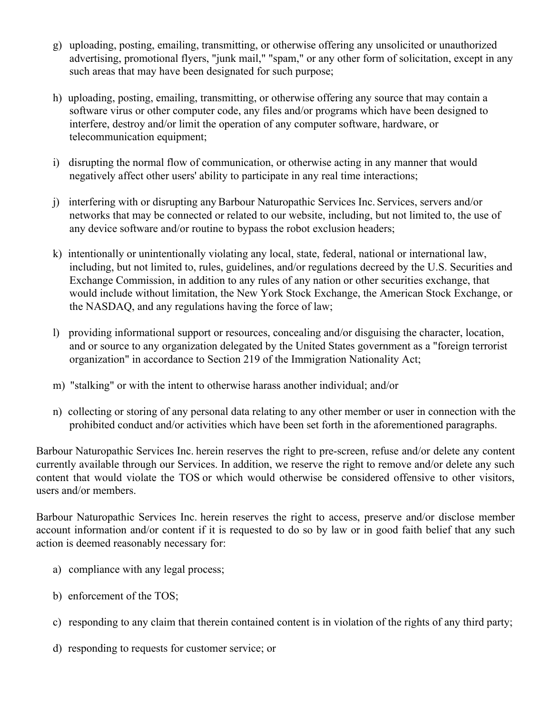- g) uploading, posting, emailing, transmitting, or otherwise offering any unsolicited or unauthorized advertising, promotional flyers, "junk mail," "spam," or any other form of solicitation, except in any such areas that may have been designated for such purpose;
- h) uploading, posting, emailing, transmitting, or otherwise offering any source that may contain a software virus or other computer code, any files and/or programs which have been designed to interfere, destroy and/or limit the operation of any computer software, hardware, or telecommunication equipment;
- i) disrupting the normal flow of communication, or otherwise acting in any manner that would negatively affect other users' ability to participate in any real time interactions;
- j) interfering with or disrupting any Barbour Naturopathic Services Inc. Services, servers and/or networks that may be connected or related to our website, including, but not limited to, the use of any device software and/or routine to bypass the robot exclusion headers;
- k) intentionally or unintentionally violating any local, state, federal, national or international law, including, but not limited to, rules, guidelines, and/or regulations decreed by the U.S. Securities and Exchange Commission, in addition to any rules of any nation or other securities exchange, that would include without limitation, the New York Stock Exchange, the American Stock Exchange, or the NASDAQ, and any regulations having the force of law;
- l) providing informational support or resources, concealing and/or disguising the character, location, and or source to any organization delegated by the United States government as a "foreign terrorist organization" in accordance to Section 219 of the Immigration Nationality Act;
- m) "stalking" or with the intent to otherwise harass another individual; and/or
- n) collecting or storing of any personal data relating to any other member or user in connection with the prohibited conduct and/or activities which have been set forth in the aforementioned paragraphs.

Barbour Naturopathic Services Inc. herein reserves the right to pre-screen, refuse and/or delete any content currently available through our Services. In addition, we reserve the right to remove and/or delete any such content that would violate the TOS or which would otherwise be considered offensive to other visitors, users and/or members.

Barbour Naturopathic Services Inc. herein reserves the right to access, preserve and/or disclose member account information and/or content if it is requested to do so by law or in good faith belief that any such action is deemed reasonably necessary for:

- a) compliance with any legal process;
- b) enforcement of the TOS;
- c) responding to any claim that therein contained content is in violation of the rights of any third party;
- d) responding to requests for customer service; or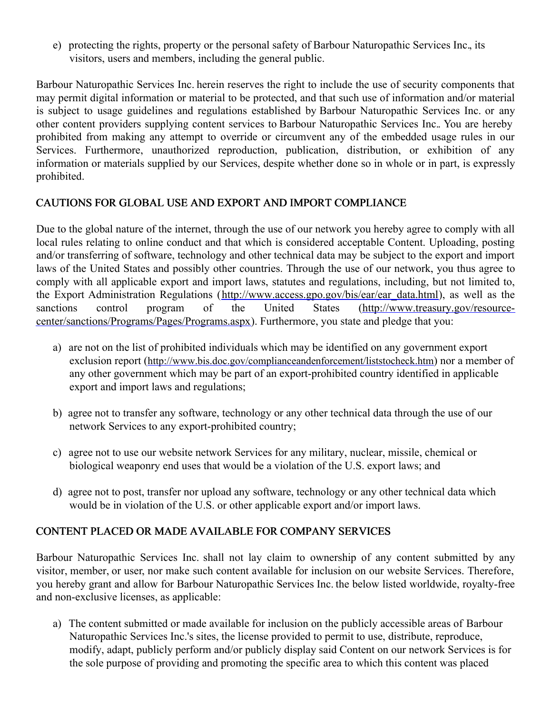e) protecting the rights, property or the personal safety of Barbour Naturopathic Services Inc., its visitors, users and members, including the general public.

Barbour Naturopathic Services Inc. herein reserves the right to include the use of security components that may permit digital information or material to be protected, and that such use of information and/or material is subject to usage guidelines and regulations established by Barbour Naturopathic Services Inc. or any other content providers supplying content services to Barbour Naturopathic Services Inc.. You are hereby prohibited from making any attempt to override or circumvent any of the embedded usage rules in our Services. Furthermore, unauthorized reproduction, publication, distribution, or exhibition of any information or materials supplied by our Services, despite whether done so in whole or in part, is expressly prohibited.

# CAUTIONS FOR GLOBAL USE AND EXPORT AND IMPORT COMPLIANCE

Due to the global nature of the internet, through the use of our network you hereby agree to comply with all local rules relating to online conduct and that which is considered acceptable Content. Uploading, posting and/or transferring of software, technology and other technical data may be subject to the export and import laws of the United States and possibly other countries. Through the use of our network, you thus agree to comply with all applicable export and import laws, statutes and regulations, including, but not limited to, the Export Administration Regulations [\(http://www.access.gpo.gov/bis/ear/ear\\_data.html](http://www.access.gpo.gov/bis/ear/ear_data.html)), as well as the sanctions control program of the United States (http://www.treasury.gov/resource[center/sanctions/Programs/Pages/Programs.aspx\).](http://www.treasury.gov/resource-center/sanctions/Programs/Pages/Programs.aspx) Furthermore, you state and pledge that you:

- a) are not on the list of prohibited individuals which may be identified on any government export exclusion report (<http://www.bis.doc.gov/complianceandenforcement/liststocheck.htm>) nor a member of any other government which may be part of an export-prohibited country identified in applicable export and import laws and regulations;
- b) agree not to transfer any software, technology or any other technical data through the use of our network Services to any export-prohibited country;
- c) agree not to use our website network Services for any military, nuclear, missile, chemical or biological weaponry end uses that would be a violation of the U.S. export laws; and
- d) agree not to post, transfer nor upload any software, technology or any other technical data which would be in violation of the U.S. or other applicable export and/or import laws.

### CONTENT PLACED OR MADE AVAILABLE FOR COMPANY SERVICES

Barbour Naturopathic Services Inc. shall not lay claim to ownership of any content submitted by any visitor, member, or user, nor make such content available for inclusion on our website Services. Therefore, you hereby grant and allow for Barbour Naturopathic Services Inc. the below listed worldwide, royalty-free and non-exclusive licenses, as applicable:

a) The content submitted or made available for inclusion on the publicly accessible areas of Barbour Naturopathic Services Inc.'s sites, the license provided to permit to use, distribute, reproduce, modify, adapt, publicly perform and/or publicly display said Content on our network Services is for the sole purpose of providing and promoting the specific area to which this content was placed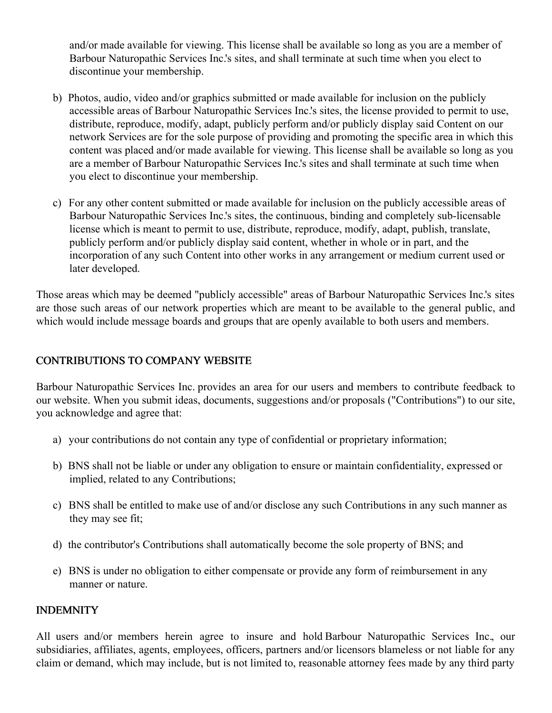and/or made available for viewing. This license shall be available so long as you are a member of Barbour Naturopathic Services Inc.'s sites, and shall terminate at such time when you elect to discontinue your membership.

- b) Photos, audio, video and/or graphics submitted or made available for inclusion on the publicly accessible areas of Barbour Naturopathic Services Inc.'s sites, the license provided to permit to use, distribute, reproduce, modify, adapt, publicly perform and/or publicly display said Content on our network Services are for the sole purpose of providing and promoting the specific area in which this content was placed and/or made available for viewing. This license shall be available so long as you are a member of Barbour Naturopathic Services Inc.'s sites and shall terminate at such time when you elect to discontinue your membership.
- c) For any other content submitted or made available for inclusion on the publicly accessible areas of Barbour Naturopathic Services Inc.'s sites, the continuous, binding and completely sub-licensable license which is meant to permit to use, distribute, reproduce, modify, adapt, publish, translate, publicly perform and/or publicly display said content, whether in whole or in part, and the incorporation of any such Content into other works in any arrangement or medium current used or later developed.

Those areas which may be deemed "publicly accessible" areas of Barbour Naturopathic Services Inc.'s sites are those such areas of our network properties which are meant to be available to the general public, and which would include message boards and groups that are openly available to both users and members.

# CONTRIBUTIONS TO COMPANY WEBSITE

Barbour Naturopathic Services Inc. provides an area for our users and members to contribute feedback to our website. When you submit ideas, documents, suggestions and/or proposals ("Contributions") to our site, you acknowledge and agree that:

- a) your contributions do not contain any type of confidential or proprietary information;
- b) BNS shall not be liable or under any obligation to ensure or maintain confidentiality, expressed or implied, related to any Contributions;
- c) BNS shall be entitled to make use of and/or disclose any such Contributions in any such manner as they may see fit;
- d) the contributor's Contributions shall automatically become the sole property of BNS; and
- e) BNS is under no obligation to either compensate or provide any form of reimbursement in any manner or nature.

### INDEMNITY

All users and/or members herein agree to insure and hold Barbour Naturopathic Services Inc., our subsidiaries, affiliates, agents, employees, officers, partners and/or licensors blameless or not liable for any claim or demand, which may include, but is not limited to, reasonable attorney fees made by any third party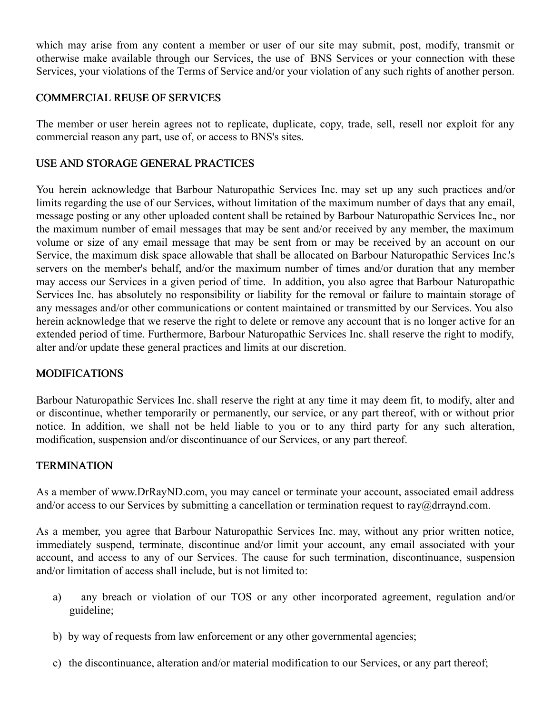which may arise from any content a member or user of our site may submit, post, modify, transmit or otherwise make available through our Services, the use of BNS Services or your connection with these Services, your violations of the Terms of Service and/or your violation of any such rights of another person.

### COMMERCIAL REUSE OF SERVICES

The member or user herein agrees not to replicate, duplicate, copy, trade, sell, resell nor exploit for any commercial reason any part, use of, or access to BNS's sites.

# USE AND STORAGE GENERAL PRACTICES

You herein acknowledge that Barbour Naturopathic Services Inc. may set up any such practices and/or limits regarding the use of our Services, without limitation of the maximum number of days that any email, message posting or any other uploaded content shall be retained by Barbour Naturopathic Services Inc., nor the maximum number of email messages that may be sent and/or received by any member, the maximum volume or size of any email message that may be sent from or may be received by an account on our Service, the maximum disk space allowable that shall be allocated on Barbour Naturopathic Services Inc.'s servers on the member's behalf, and/or the maximum number of times and/or duration that any member may access our Services in a given period of time. In addition, you also agree that Barbour Naturopathic Services Inc. has absolutely no responsibility or liability for the removal or failure to maintain storage of any messages and/or other communications or content maintained or transmitted by our Services. You also herein acknowledge that we reserve the right to delete or remove any account that is no longer active for an extended period of time. Furthermore, Barbour Naturopathic Services Inc. shall reserve the right to modify, alter and/or update these general practices and limits at our discretion.

# MODIFICATIONS

Barbour Naturopathic Services Inc. shall reserve the right at any time it may deem fit, to modify, alter and or discontinue, whether temporarily or permanently, our service, or any part thereof, with or without prior notice. In addition, we shall not be held liable to you or to any third party for any such alteration, modification, suspension and/or discontinuance of our Services, or any part thereof.

### **TERMINATION**

As a member of www.DrRayND.com, you may cancel or terminate your account, associated email address and/or access to our Services by submitting a cancellation or termination request to ray@drraynd.com.

As a member, you agree that Barbour Naturopathic Services Inc. may, without any prior written notice, immediately suspend, terminate, discontinue and/or limit your account, any email associated with your account, and access to any of our Services. The cause for such termination, discontinuance, suspension and/or limitation of access shall include, but is not limited to:

- a) any breach or violation of our TOS or any other incorporated agreement, regulation and/or guideline;
- b) by way of requests from law enforcement or any other governmental agencies;
- c) the discontinuance, alteration and/or material modification to our Services, or any part thereof;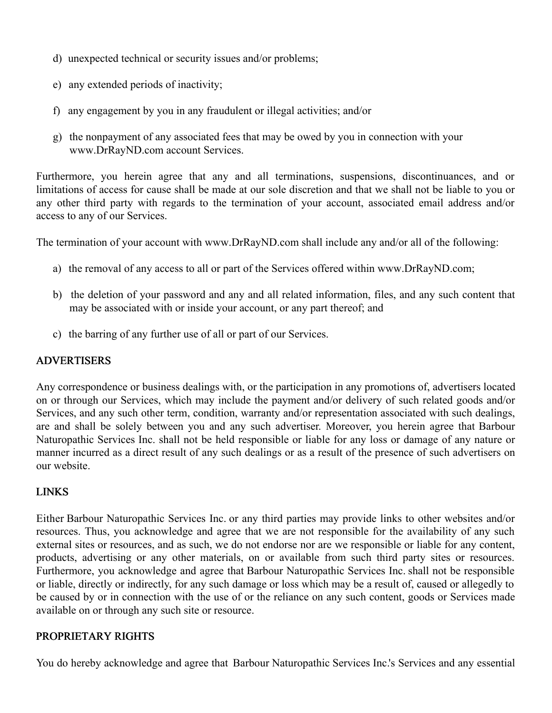- d) unexpected technical or security issues and/or problems;
- e) any extended periods of inactivity;
- f) any engagement by you in any fraudulent or illegal activities; and/or
- g) the nonpayment of any associated fees that may be owed by you in connection with your www.DrRayND.com account Services.

Furthermore, you herein agree that any and all terminations, suspensions, discontinuances, and or limitations of access for cause shall be made at our sole discretion and that we shall not be liable to you or any other third party with regards to the termination of your account, associated email address and/or access to any of our Services.

The termination of your account with www.DrRayND.com shall include any and/or all of the following:

- a) the removal of any access to all or part of the Services offered within www.DrRayND.com;
- b) the deletion of your password and any and all related information, files, and any such content that may be associated with or inside your account, or any part thereof; and
- c) the barring of any further use of all or part of our Services.

### ADVERTISERS

Any correspondence or business dealings with, or the participation in any promotions of, advertisers located on or through our Services, which may include the payment and/or delivery of such related goods and/or Services, and any such other term, condition, warranty and/or representation associated with such dealings, are and shall be solely between you and any such advertiser. Moreover, you herein agree that Barbour Naturopathic Services Inc. shall not be held responsible or liable for any loss or damage of any nature or manner incurred as a direct result of any such dealings or as a result of the presence of such advertisers on our website.

### LINKS

Either Barbour Naturopathic Services Inc. or any third parties may provide links to other websites and/or resources. Thus, you acknowledge and agree that we are not responsible for the availability of any such external sites or resources, and as such, we do not endorse nor are we responsible or liable for any content, products, advertising or any other materials, on or available from such third party sites or resources. Furthermore, you acknowledge and agree that Barbour Naturopathic Services Inc. shall not be responsible or liable, directly or indirectly, for any such damage or loss which may be a result of, caused or allegedly to be caused by or in connection with the use of or the reliance on any such content, goods or Services made available on or through any such site or resource.

### PROPRIETARY RIGHTS

You do hereby acknowledge and agree that Barbour Naturopathic Services Inc.'s Services and any essential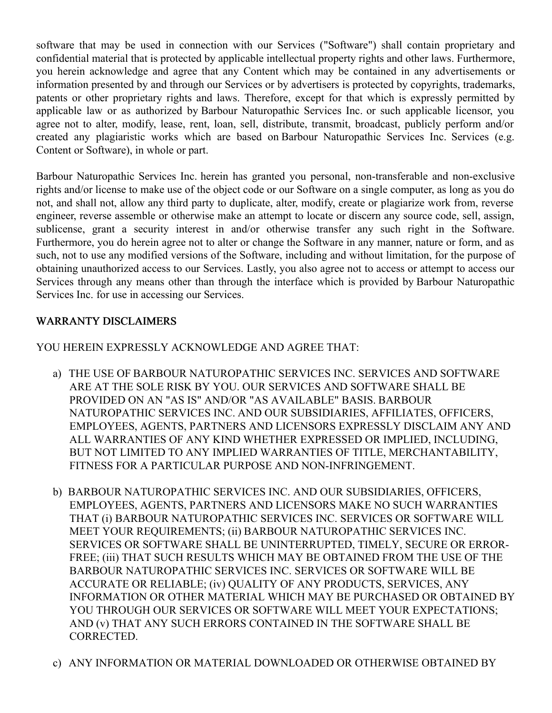software that may be used in connection with our Services ("Software") shall contain proprietary and confidential material that is protected by applicable intellectual property rights and other laws. Furthermore, you herein acknowledge and agree that any Content which may be contained in any advertisements or information presented by and through our Services or by advertisers is protected by copyrights, trademarks, patents or other proprietary rights and laws. Therefore, except for that which is expressly permitted by applicable law or as authorized by Barbour Naturopathic Services Inc. or such applicable licensor, you agree not to alter, modify, lease, rent, loan, sell, distribute, transmit, broadcast, publicly perform and/or created any plagiaristic works which are based on Barbour Naturopathic Services Inc. Services (e.g. Content or Software), in whole or part.

Barbour Naturopathic Services Inc. herein has granted you personal, non-transferable and non-exclusive rights and/or license to make use of the object code or our Software on a single computer, as long as you do not, and shall not, allow any third party to duplicate, alter, modify, create or plagiarize work from, reverse engineer, reverse assemble or otherwise make an attempt to locate or discern any source code, sell, assign, sublicense, grant a security interest in and/or otherwise transfer any such right in the Software. Furthermore, you do herein agree not to alter or change the Software in any manner, nature or form, and as such, not to use any modified versions of the Software, including and without limitation, for the purpose of obtaining unauthorized access to our Services. Lastly, you also agree not to access or attempt to access our Services through any means other than through the interface which is provided by Barbour Naturopathic Services Inc. for use in accessing our Services.

# WARRANTY DISCLAIMERS

YOU HEREIN EXPRESSLY ACKNOWLEDGE AND AGREE THAT:

- a) THE USE OF BARBOUR NATUROPATHIC SERVICES INC. SERVICES AND SOFTWARE ARE AT THE SOLE RISK BY YOU. OUR SERVICES AND SOFTWARE SHALL BE PROVIDED ON AN "AS IS" AND/OR "AS AVAILABLE" BASIS. BARBOUR NATUROPATHIC SERVICES INC. AND OUR SUBSIDIARIES, AFFILIATES, OFFICERS, EMPLOYEES, AGENTS, PARTNERS AND LICENSORS EXPRESSLY DISCLAIM ANY AND ALL WARRANTIES OF ANY KIND WHETHER EXPRESSED OR IMPLIED, INCLUDING, BUT NOT LIMITED TO ANY IMPLIED WARRANTIES OF TITLE, MERCHANTABILITY, FITNESS FOR A PARTICULAR PURPOSE AND NON-INFRINGEMENT.
- b) BARBOUR NATUROPATHIC SERVICES INC. AND OUR SUBSIDIARIES, OFFICERS, EMPLOYEES, AGENTS, PARTNERS AND LICENSORS MAKE NO SUCH WARRANTIES THAT (i) BARBOUR NATUROPATHIC SERVICES INC. SERVICES OR SOFTWARE WILL MEET YOUR REQUIREMENTS; (ii) BARBOUR NATUROPATHIC SERVICES INC. SERVICES OR SOFTWARE SHALL BE UNINTERRUPTED, TIMELY, SECURE OR ERROR-FREE; (iii) THAT SUCH RESULTS WHICH MAY BE OBTAINED FROM THE USE OF THE BARBOUR NATUROPATHIC SERVICES INC. SERVICES OR SOFTWARE WILL BE ACCURATE OR RELIABLE; (iv) QUALITY OF ANY PRODUCTS, SERVICES, ANY INFORMATION OR OTHER MATERIAL WHICH MAY BE PURCHASED OR OBTAINED BY YOU THROUGH OUR SERVICES OR SOFTWARE WILL MEET YOUR EXPECTATIONS; AND (v) THAT ANY SUCH ERRORS CONTAINED IN THE SOFTWARE SHALL BE CORRECTED.
- c) ANY INFORMATION OR MATERIAL DOWNLOADED OR OTHERWISE OBTAINED BY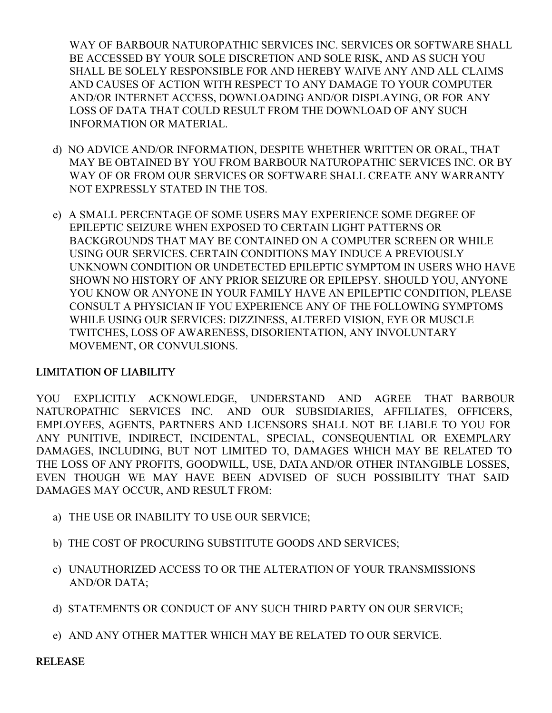WAY OF BARBOUR NATUROPATHIC SERVICES INC. SERVICES OR SOFTWARE SHALL BE ACCESSED BY YOUR SOLE DISCRETION AND SOLE RISK, AND AS SUCH YOU SHALL BE SOLELY RESPONSIBLE FOR AND HEREBY WAIVE ANY AND ALL CLAIMS AND CAUSES OF ACTION WITH RESPECT TO ANY DAMAGE TO YOUR COMPUTER AND/OR INTERNET ACCESS, DOWNLOADING AND/OR DISPLAYING, OR FOR ANY LOSS OF DATA THAT COULD RESULT FROM THE DOWNLOAD OF ANY SUCH INFORMATION OR MATERIAL.

- d) NO ADVICE AND/OR INFORMATION, DESPITE WHETHER WRITTEN OR ORAL, THAT MAY BE OBTAINED BY YOU FROM BARBOUR NATUROPATHIC SERVICES INC. OR BY WAY OF OR FROM OUR SERVICES OR SOFTWARE SHALL CREATE ANY WARRANTY NOT EXPRESSLY STATED IN THE TOS.
- e) A SMALL PERCENTAGE OF SOME USERS MAY EXPERIENCE SOME DEGREE OF EPILEPTIC SEIZURE WHEN EXPOSED TO CERTAIN LIGHT PATTERNS OR BACKGROUNDS THAT MAY BE CONTAINED ON A COMPUTER SCREEN OR WHILE USING OUR SERVICES. CERTAIN CONDITIONS MAY INDUCE A PREVIOUSLY UNKNOWN CONDITION OR UNDETECTED EPILEPTIC SYMPTOM IN USERS WHO HAVE SHOWN NO HISTORY OF ANY PRIOR SEIZURE OR EPILEPSY. SHOULD YOU, ANYONE YOU KNOW OR ANYONE IN YOUR FAMILY HAVE AN EPILEPTIC CONDITION, PLEASE CONSULT A PHYSICIAN IF YOU EXPERIENCE ANY OF THE FOLLOWING SYMPTOMS WHILE USING OUR SERVICES: DIZZINESS, ALTERED VISION, EYE OR MUSCLE TWITCHES, LOSS OF AWARENESS, DISORIENTATION, ANY INVOLUNTARY MOVEMENT, OR CONVULSIONS.

### LIMITATION OF LIABILITY

YOU EXPLICITLY ACKNOWLEDGE, UNDERSTAND AND AGREE THAT BARBOUR NATUROPATHIC SERVICES INC. AND OUR SUBSIDIARIES, AFFILIATES, OFFICERS, EMPLOYEES, AGENTS, PARTNERS AND LICENSORS SHALL NOT BE LIABLE TO YOU FOR ANY PUNITIVE, INDIRECT, INCIDENTAL, SPECIAL, CONSEQUENTIAL OR EXEMPLARY DAMAGES, INCLUDING, BUT NOT LIMITED TO, DAMAGES WHICH MAY BE RELATED TO THE LOSS OF ANY PROFITS, GOODWILL, USE, DATA AND/OR OTHER INTANGIBLE LOSSES, EVEN THOUGH WE MAY HAVE BEEN ADVISED OF SUCH POSSIBILITY THAT SAID DAMAGES MAY OCCUR, AND RESULT FROM:

- a) THE USE OR INABILITY TO USE OUR SERVICE;
- b) THE COST OF PROCURING SUBSTITUTE GOODS AND SERVICES;
- c) UNAUTHORIZED ACCESS TO OR THE ALTERATION OF YOUR TRANSMISSIONS AND/OR DATA;
- d) STATEMENTS OR CONDUCT OF ANY SUCH THIRD PARTY ON OUR SERVICE;
- e) AND ANY OTHER MATTER WHICH MAY BE RELATED TO OUR SERVICE.

RELEASE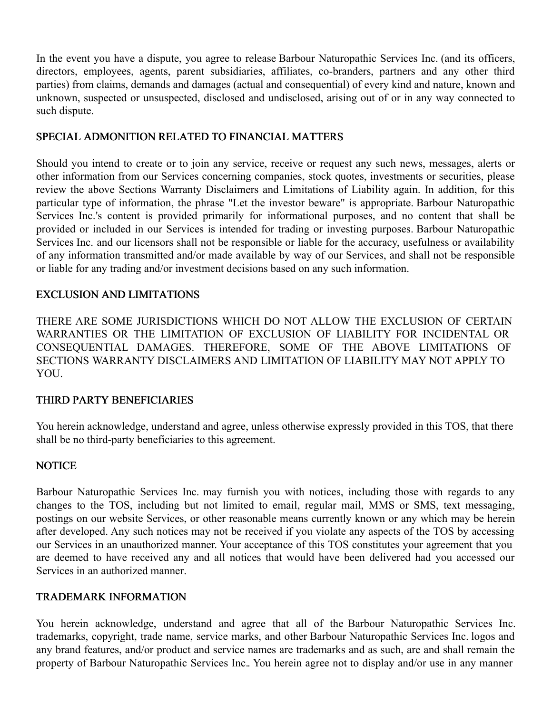In the event you have a dispute, you agree to release Barbour Naturopathic Services Inc. (and its officers, directors, employees, agents, parent subsidiaries, affiliates, co-branders, partners and any other third parties) from claims, demands and damages (actual and consequential) of every kind and nature, known and unknown, suspected or unsuspected, disclosed and undisclosed, arising out of or in any way connected to such dispute.

### SPECIAL ADMONITION RELATED TO FINANCIAL MATTERS

Should you intend to create or to join any service, receive or request any such news, messages, alerts or other information from our Services concerning companies, stock quotes, investments or securities, please review the above Sections Warranty Disclaimers and Limitations of Liability again. In addition, for this particular type of information, the phrase "Let the investor beware" is appropriate. Barbour Naturopathic Services Inc.'s content is provided primarily for informational purposes, and no content that shall be provided or included in our Services is intended for trading or investing purposes. Barbour Naturopathic Services Inc. and our licensors shall not be responsible or liable for the accuracy, usefulness or availability of any information transmitted and/or made available by way of our Services, and shall not be responsible or liable for any trading and/or investment decisions based on any such information.

### EXCLUSION AND LIMITATIONS

THERE ARE SOME JURISDICTIONS WHICH DO NOT ALLOW THE EXCLUSION OF CERTAIN WARRANTIES OR THE LIMITATION OF EXCLUSION OF LIABILITY FOR INCIDENTAL OR CONSEQUENTIAL DAMAGES. THEREFORE, SOME OF THE ABOVE LIMITATIONS OF SECTIONS WARRANTY DISCLAIMERS AND LIMITATION OF LIABILITY MAY NOT APPLY TO YOU.

### THIRD PARTY BENEFICIARIES

You herein acknowledge, understand and agree, unless otherwise expressly provided in this TOS, that there shall be no third-party beneficiaries to this agreement.

# **NOTICE**

Barbour Naturopathic Services Inc. may furnish you with notices, including those with regards to any changes to the TOS, including but not limited to email, regular mail, MMS or SMS, text messaging, postings on our website Services, or other reasonable means currently known or any which may be herein after developed. Any such notices may not be received if you violate any aspects of the TOS by accessing our Services in an unauthorized manner. Your acceptance of this TOS constitutes your agreement that you are deemed to have received any and all notices that would have been delivered had you accessed our Services in an authorized manner.

### TRADEMARK INFORMATION

You herein acknowledge, understand and agree that all of the Barbour Naturopathic Services Inc. trademarks, copyright, trade name, service marks, and other Barbour Naturopathic Services Inc. logos and any brand features, and/or product and service names are trademarks and as such, are and shall remain the property of Barbour Naturopathic Services Inc.. You herein agree not to display and/or use in any manner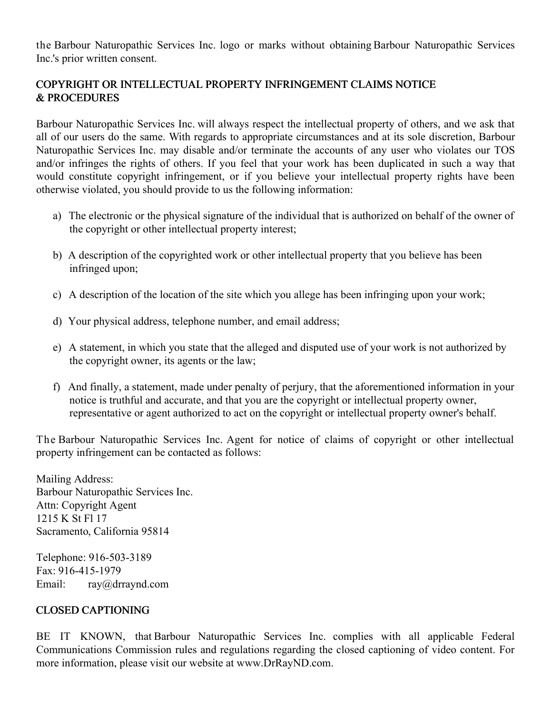the Barbour Naturopathic Services Inc. logo or marks without obtaining Barbour Naturopathic Services Inc.'s prior written consent.

# COPYRIGHT OR INTELLECTUAL PROPERTY INFRINGEMENT CLAIMS NOTICE & PROCEDURES

Barbour Naturopathic Services Inc. will always respect the intellectual property of others, and we ask that all of our users do the same. With regards to appropriate circumstances and at its sole discretion, Barbour Naturopathic Services Inc. may disable and/or terminate the accounts of any user who violates our TOS and/or infringes the rights of others. If you feel that your work has been duplicated in such a way that would constitute copyright infringement, or if you believe your intellectual property rights have been otherwise violated, you should provide to us the following information:

- a) The electronic or the physical signature of the individual that is authorized on behalf of the owner of the copyright or other intellectual property interest;
- b) A description of the copyrighted work or other intellectual property that you believe has been infringed upon;
- c) A description of the location of the site which you allege has been infringing upon your work;
- d) Your physical address, telephone number, and email address;
- e) A statement, in which you state that the alleged and disputed use of your work is not authorized by the copyright owner, its agents or the law;
- f) And finally, a statement, made under penalty of perjury, that the aforementioned information in your notice is truthful and accurate, and that you are the copyright or intellectual property owner, representative or agent authorized to act on the copyright or intellectual property owner's behalf.

The Barbour Naturopathic Services Inc. Agent for notice of claims of copyright or other intellectual property infringement can be contacted as follows:

Mailing Address: Barbour Naturopathic Services Inc. Attn: Copyright Agent 1215 K St Fl 17 Sacramento, California 95814

Telephone: 916-503-3189 Fax: 916-415-1979 Email: ray@drraynd.com

# CLOSED CAPTIONING

BE IT KNOWN, that Barbour Naturopathic Services Inc. complies with all applicable Federal Communications Commission rules and regulations regarding the closed captioning of video content. For more information, please visit our website at www.DrRayND.com.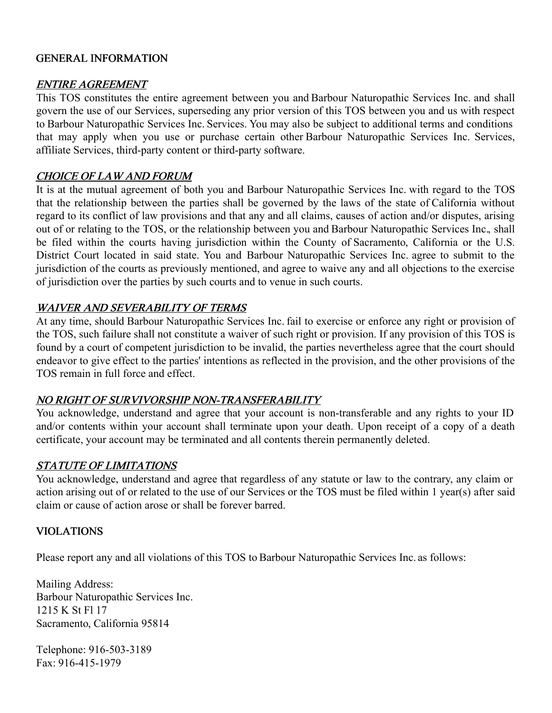#### GENERAL INFORMATION

#### ENTIRE AGREEMENT

This TOS constitutes the entire agreement between you and Barbour Naturopathic Services Inc. and shall govern the use of our Services, superseding any prior version of this TOS between you and us with respect to Barbour Naturopathic Services Inc. Services. You may also be subject to additional terms and conditions that may apply when you use or purchase certain other Barbour Naturopathic Services Inc. Services, affiliate Services, third-party content or third-party software.

#### CHOICE OF LAW AND FORUM

It is at the mutual agreement of both you and Barbour Naturopathic Services Inc. with regard to the TOS that the relationship between the parties shall be governed by the laws of the state of California without regard to its conflict of law provisions and that any and all claims, causes of action and/or disputes, arising out of or relating to the TOS, or the relationship between you and Barbour Naturopathic Services Inc., shall be filed within the courts having jurisdiction within the County of Sacramento, California or the U.S. District Court located in said state. You and Barbour Naturopathic Services Inc. agree to submit to the jurisdiction of the courts as previously mentioned, and agree to waive any and all objections to the exercise of jurisdiction over the parties by such courts and to venue in such courts.

### WAIVER AND SEVERABILITY OF TERMS

At any time, should Barbour Naturopathic Services Inc. fail to exercise or enforce any right or provision of the TOS, such failure shall not constitute a waiver of such right or provision. If any provision of this TOS is found by a court of competent jurisdiction to be invalid, the parties nevertheless agree that the court should endeavor to give effect to the parties' intentions as reflected in the provision, and the other provisions of the TOS remain in full force and effect.

### NO RIGHT OF SURVIVORSHIP NON-TRANSFERABILITY

You acknowledge, understand and agree that your account is non-transferable and any rights to your ID and/or contents within your account shall terminate upon your death. Upon receipt of a copy of a death certificate, your account may be terminated and all contents therein permanently deleted.

### STATUTE OF LIMITATIONS

You acknowledge, understand and agree that regardless of any statute or law to the contrary, any claim or action arising out of or related to the use of our Services or the TOS must be filed within 1 year(s) after said claim or cause of action arose or shall be forever barred.

#### VIOLATIONS

Please report any and all violations of this TOS to Barbour Naturopathic Services Inc. as follows:

Mailing Address: Barbour Naturopathic Services Inc. 1215 K St Fl 17 Sacramento, California 95814

Telephone: 916-503-3189 Fax: 916-415-1979